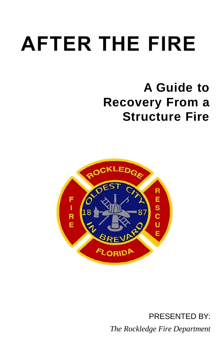# **AFTER THE FIRE**

# **A Guide to Recovery From a Structure Fire**



PRESENTED BY:

*The Rockledge Fire Department*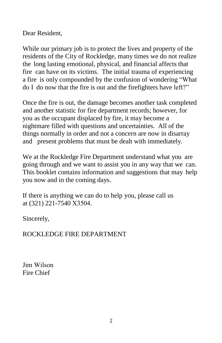Dear Resident,

While our primary job is to protect the lives and property of the residents of the City of Rockledge, many times we do not realize the long lasting emotional, physical, and financial affects that fire can have on its victims. The initial trauma of experiencing a fire is only compounded by the confusion of wondering "What do I do now that the fire is out and the firefighters have left?"

Once the fire is out, the damage becomes another task completed and another statistic for fire department records; however, for you as the occupant displaced by fire, it may become a nightmare filled with questions and uncertainties. All of the things normally in order and not a concern are now in disarray and present problems that must be dealt with immediately.

We at the Rockledge Fire Department understand what you are going through and we want to assist you in any way that we can. This booklet contains information and suggestions that may help you now and in the coming days.

If there is anything we can do to help you, please call us at (321) 221-7540 X3504.

Sincerely,

ROCKLEDGE FIRE DEPARTMENT

Jim Wilson Fire Chief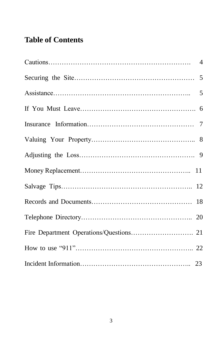# **Table of Contents**

| 5 |
|---|
|   |
|   |
|   |
|   |
|   |
|   |
|   |
|   |
|   |
|   |
|   |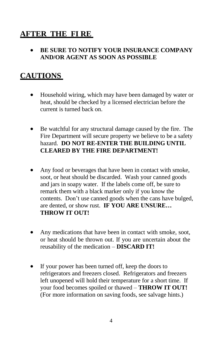### **AFTER THE FI RE**

 **BE SURE TO NOTIFY YOUR INSURANCE COMPANY AND/OR AGENT AS SOON AS POSSIBLE**

### **CAUTIONS**

- Household wiring, which may have been damaged by water or heat, should be checked by a licensed electrician before the current is turned back on.
- Be watchful for any structural damage caused by the fire. The Fire Department will secure property we believe to be a safety hazard. **DO NOT RE-ENTER THE BUILDING UNTIL CLEARED BY THE FIRE DEPARTMENT!**
- Any food or beverages that have been in contact with smoke, soot, or heat should be discarded. Wash your canned goods and jars in soapy water. If the labels come off, be sure to remark them with a black marker only if you know the contents. Don't use canned goods when the cans have bulged, are dented, or show rust. **IF YOU ARE UNSURE… THROW IT OUT!**
- Any medications that have been in contact with smoke, soot, or heat should be thrown out. If you are uncertain about the reusability of the medication – **DISCARD IT!**
- If your power has been turned off, keep the doors to refrigerators and freezers closed. Refrigerators and freezers left unopened will hold their temperature for a short time. If your food becomes spoiled or thawed – **THROW IT OUT!** (For more information on saving foods, see salvage hints.)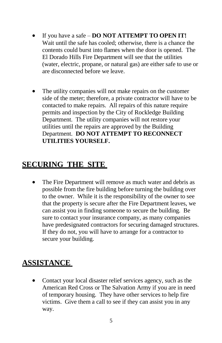- If you have a safe **DO NOT ATTEMPT TO OPEN IT!** Wait until the safe has cooled; otherwise, there is a chance the contents could burst into flames when the door is opened. The El Dorado Hills Fire Department will see that the utilities (water, electric, propane, or natural gas) are either safe to use or are disconnected before we leave.
- The utility companies will not make repairs on the customer side of the meter; therefore, a private contractor will have to be contacted to make repairs. All repairs of this nature require permits and inspection by the City of Rockledge Building Department. The utility companies will not restore your utilities until the repairs are approved by the Building Department. **DO NOT ATTEMPT TO RECONNECT UTILITIES YOURSELF.**

# **SECURING THE SITE**

 The Fire Department will remove as much water and debris as possible from the fire building before turning the building over to the owner. While it is the responsibility of the owner to see that the property is secure after the Fire Department leaves, we can assist you in finding someone to secure the building. Be sure to contact your insurance company, as many companies have predesignated contractors for securing damaged structures. If they do not, you will have to arrange for a contractor to secure your building.

## **ASSISTANCE**

• Contact your local disaster relief services agency, such as the American Red Cross or The Salvation Army if you are in need of temporary housing. They have other services to help fire victims. Give them a call to see if they can assist you in any way.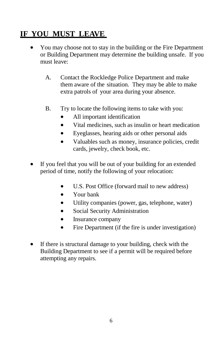# **IF YOU MUST LEAVE**

- You may choose not to stay in the building or the Fire Department or Building Department may determine the building unsafe. If you must leave:
	- A. Contact the Rockledge Police Department and make them aware of the situation. They may be able to make extra patrols of your area during your absence.
	- B. Try to locate the following items to take with you:
		- All important identification
		- Vital medicines, such as insulin or heart medication
		- Eyeglasses, hearing aids or other personal aids
		- Valuables such as money, insurance policies, credit cards, jewelry, check book, etc.
- If you feel that you will be out of your building for an extended period of time, notify the following of your relocation:
	- U.S. Post Office (forward mail to new address)
	- Your bank
	- Utility companies (power, gas, telephone, water)
	- Social Security Administration
	- Insurance company
	- Fire Department (if the fire is under investigation)
- If there is structural damage to your building, check with the Building Department to see if a permit will be required before attempting any repairs.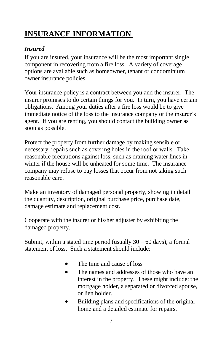# **INSURANCE INFORMATION**

#### *Insured*

If you are insured, your insurance will be the most important single component in recovering from a fire loss. A variety of coverage options are available such as homeowner, tenant or condominium owner insurance policies.

Your insurance policy is a contract between you and the insurer. The insurer promises to do certain things for you. In turn, you have certain obligations. Among your duties after a fire loss would be to give immediate notice of the loss to the insurance company or the insurer's agent. If you are renting, you should contact the building owner as soon as possible.

Protect the property from further damage by making sensible or necessary repairs such as covering holes in the roof or walls. Take reasonable precautions against loss, such as draining water lines in winter if the house will be unheated for some time. The insurance company may refuse to pay losses that occur from not taking such reasonable care.

Make an inventory of damaged personal property, showing in detail the quantity, description, original purchase price, purchase date, damage estimate and replacement cost.

Cooperate with the insurer or his/her adjuster by exhibiting the damaged property.

Submit, within a stated time period (usually  $30 - 60$  days), a formal statement of loss. Such a statement should include:

- The time and cause of loss
- The names and addresses of those who have an interest in the property. These might include: the mortgage holder, a separated or divorced spouse, or lien holder.
- Building plans and specifications of the original home and a detailed estimate for repairs.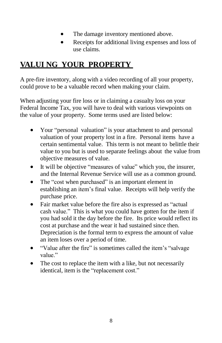- The damage inventory mentioned above.
- Receipts for additional living expenses and loss of use claims.

# **VALUI NG YOUR PROPERTY**

A pre-fire inventory, along with a video recording of all your property, could prove to be a valuable record when making your claim.

When adjusting your fire loss or in claiming a casualty loss on your Federal Income Tax, you will have to deal with various viewpoints on the value of your property. Some terms used are listed below:

- Your "personal valuation" is your attachment to and personal valuation of your property lost in a fire. Personal items have a certain sentimental value. This term is not meant to belittle their value to you but is used to separate feelings about the value from objective measures of value.
- It will be objective "measures of value" which you, the insurer, and the Internal Revenue Service will use as a common ground.
- The "cost when purchased" is an important element in establishing an item's final value. Receipts will help verify the purchase price.
- Fair market value before the fire also is expressed as "actual cash value." This is what you could have gotten for the item if you had sold it the day before the fire. Its price would reflect its cost at purchase and the wear it had sustained since then. Depreciation is the formal term to express the amount of value an item loses over a period of time.
- "Value after the fire" is sometimes called the item's "salvage value."
- The cost to replace the item with a like, but not necessarily identical, item is the "replacement cost."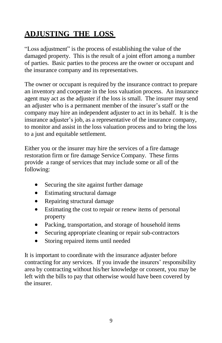# **ADJUSTING THE LOSS**

"Loss adjustment" is the process of establishing the value of the damaged property. This is the result of a joint effort among a number of parties. Basic parties to the process are the owner or occupant and the insurance company and its representatives.

The owner or occupant is required by the insurance contract to prepare an inventory and cooperate in the loss valuation process. An insurance agent may act as the adjuster if the loss is small. The insurer may send an adjuster who is a permanent member of the insurer's staff or the company may hire an independent adjuster to act in its behalf. It is the insurance adjuster's job, as a representative of the insurance company, to monitor and assist in the loss valuation process and to bring the loss to a just and equitable settlement.

Either you or the insurer may hire the services of a fire damage restoration firm or fire damage Service Company. These firms provide a range of services that may include some or all of the following:

- Securing the site against further damage
- Estimating structural damage
- Repairing structural damage
- Estimating the cost to repair or renew items of personal property
- Packing, transportation, and storage of household items
- Securing appropriate cleaning or repair sub-contractors
- Storing repaired items until needed

It is important to coordinate with the insurance adjuster before contracting for any services. If you invade the insurers' responsibility area by contracting without his/her knowledge or consent, you may be left with the bills to pay that otherwise would have been covered by the insurer.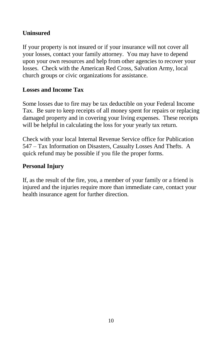#### **Uninsured**

If your property is not insured or if your insurance will not cover all your losses, contact your family attorney. You may have to depend upon your own resources and help from other agencies to recover your losses. Check with the American Red Cross, Salvation Army, local church groups or civic organizations for assistance.

#### **Losses and Income Tax**

Some losses due to fire may be tax deductible on your Federal Income Tax. Be sure to keep receipts of all money spent for repairs or replacing damaged property and in covering your living expenses. These receipts will be helpful in calculating the loss for your yearly tax return.

Check with your local Internal Revenue Service office for Publication 547 – Tax Information on Disasters, Casualty Losses And Thefts. A quick refund may be possible if you file the proper forms.

#### **Personal Injury**

If, as the result of the fire, you, a member of your family or a friend is injured and the injuries require more than immediate care, contact your health insurance agent for further direction.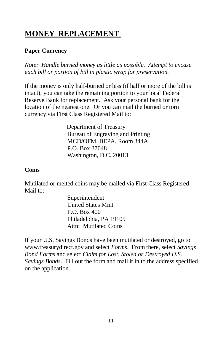# **MONEY REPLACEMENT**

#### **Paper Currency**

*Note: Handle burned money as little as possible. Attempt to encase each bill or portion of bill in plastic wrap for preservation.*

If the money is only half-burned or less (if half or more of the bill is intact), you can take the remaining portion to your local Federal Reserve Bank for replacement. Ask your personal bank for the location of the nearest one. Or you can mail the burned or torn currency via First Class Registered Mail to:

> Department of Treasury Bureau of Engraving and Printing MCD/OFM, BEPA, Room 344A P.O. Box 37048 Washington, D.C. 20013

#### **Coins**

Mutilated or melted coins may be mailed via First Class Registered Mail to:

> Superintendent United States Mint  $P \cap \text{Box } 400$ Philadelphia, PA 19105 Attn: Mutilated Coins

If your U.S. Savings Bonds have been mutilated or destroyed, go t[o](http://www.treasurydirect.gov/) [www.treasurydirect.gov a](http://www.treasurydirect.gov/)nd select *Forms*. From there, select *Savings Bond Forms* and select *Claim for Lost, Stolen or Destroyed U.S. Savings Bonds*. Fill out the form and mail it in to the address specified on the application.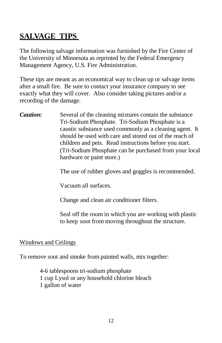# **SALVAGE TIPS**

The following salvage information was furnished by the Fire Center of the University of Minnesota as reprinted by the Federal Emergency Management Agency, U.S. Fire Administration.

These tips are meant as an economical way to clean up or salvage items after a small fire. Be sure to contact your insurance company to see exactly what they will cover. Also consider taking pictures and/or a recording of the damage.

*Caution:* Several of the cleaning mixtures contain the substance Tri-Sodium Phosphate. Tri-Sodium Phosphate is a caustic substance used commonly as a cleaning agent. It should be used with care and stored out of the reach of children and pets. Read instructions before you start. (Tri-Sodium Phosphate can be purchased from your local hardware or paint store.)

The use of rubber gloves and goggles is recommended.

Vacuum all surfaces.

Change and clean air conditioner filters.

Seal off the room in which you are working with plastic to keep soot from moving throughout the structure.

#### Windows and Ceilings

To remove soot and smoke from painted walls, mix together:

4-6 tablespoons tri-sodium phosphate 1 cup Lysol or any household chlorine bleach 1 gallon of water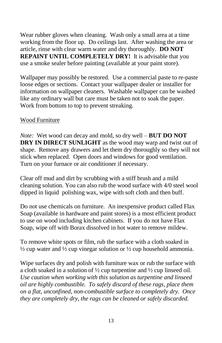Wear rubber gloves when cleaning. Wash only a small area at a time working from the floor up. Do ceilings last. After washing the area or article, rinse with clear warm water and dry thoroughly. **DO NOT REPAINT UNTIL COMPLETELY DRY!** It is advisable that you use a smoke sealer before painting (available at your paint store).

Wallpaper may possibly be restored. Use a commercial paste to re-paste loose edges or sections. Contact your wallpaper dealer or installer for information on wallpaper cleaners. Washable wallpaper can be washed like any ordinary wall but care must be taken not to soak the paper. Work from bottom to top to prevent streaking.

#### Wood Furniture

*Note:* Wet wood can decay and mold, so dry well – **BUT DO NOT DRY IN DIRECT SUNLIGHT** as the wood may warp and twist out of shape. Remove any drawers and let them dry thoroughly so they will not stick when replaced. Open doors and windows for good ventilation. Turn on your furnace or air conditioner if necessary.

Clear off mud and dirt by scrubbing with a stiff brush and a mild cleaning solution. You can also rub the wood surface with 4/0 steel wool dipped in liquid polishing wax, wipe with soft cloth and then buff.

Do not use chemicals on furniture. An inexpensive product called Flax Soap (available in hardware and paint stores) is a most efficient product to use on wood including kitchen cabinets. If you do not have Flax Soap, wipe off with Borax dissolved in hot water to remove mildew.

To remove white spots or film, rub the surface with a cloth soaked in  $\frac{1}{2}$  cup water and  $\frac{1}{2}$  cup vinegar solution or  $\frac{1}{2}$  cup household ammonia.

Wipe surfaces dry and polish with furniture wax or rub the surface with a cloth soaked in a solution of ½ cup turpentine and ½ cup linseed oil. *Use caution when working with this solution as turpentine and linseed oil are highly combustible. To safely discard of these rags, place them on a flat, unconfined, non-combustible surface to completely dry. Once they are completely dry, the rags can be cleaned or safely discarded.*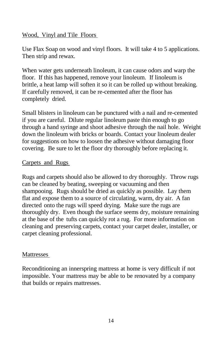#### Wood, Vinyl and Tile Floors

Use Flax Soap on wood and vinyl floors. It will take 4 to 5 applications. Then strip and rewax.

When water gets underneath linoleum, it can cause odors and warp the floor. If this has happened, remove your linoleum. If linoleum is brittle, a heat lamp will soften it so it can be rolled up without breaking. If carefully removed, it can be re-cemented after the floor has completely dried.

Small blisters in linoleum can be punctured with a nail and re-cemented if you are careful. Dilute regular linoleum paste thin enough to go through a hand syringe and shoot adhesive through the nail hole. Weight down the linoleum with bricks or boards. Contact your linoleum dealer for suggestions on how to loosen the adhesive without damaging floor covering. Be sure to let the floor dry thoroughly before replacing it.

#### Carpets and Rugs

Rugs and carpets should also be allowed to dry thoroughly. Throw rugs can be cleaned by beating, sweeping or vacuuming and then shampooing. Rugs should be dried as quickly as possible. Lay them flat and expose them to a source of circulating, warm, dry air. A fan directed onto the rugs will speed drying. Make sure the rugs are thoroughly dry. Even though the surface seems dry, moisture remaining at the base of the tufts can quickly rot a rug. For more information on cleaning and preserving carpets, contact your carpet dealer, installer, or carpet cleaning professional.

#### Mattresses

Reconditioning an innerspring mattress at home is very difficult if not impossible. Your mattress may be able to be renovated by a company that builds or repairs mattresses.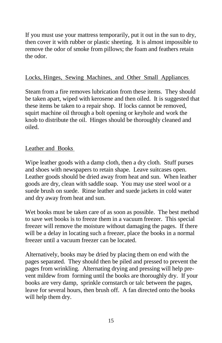If you must use your mattress temporarily, put it out in the sun to dry, then cover it with rubber or plastic sheeting. It is almost impossible to remove the odor of smoke from pillows; the foam and feathers retain the odor.

#### Locks, Hinges, Sewing Machines, and Other Small Appliances

Steam from a fire removes lubrication from these items. They should be taken apart, wiped with kerosene and then oiled. It is suggested that these items be taken to a repair shop. If locks cannot be removed, squirt machine oil through a bolt opening or keyhole and work the knob to distribute the oil. Hinges should be thoroughly cleaned and oiled.

#### Leather and Books

Wipe leather goods with a damp cloth, then a dry cloth. Stuff purses and shoes with newspapers to retain shape. Leave suitcases open. Leather goods should be dried away from heat and sun. When leather goods are dry, clean with saddle soap. You may use steel wool or a suede brush on suede. Rinse leather and suede jackets in cold water and dry away from heat and sun.

Wet books must be taken care of as soon as possible. The best method to save wet books is to freeze them in a vacuum freezer. This special freezer will remove the moisture without damaging the pages. If there will be a delay in locating such a freezer, place the books in a normal freezer until a vacuum freezer can be located.

Alternatively, books may be dried by placing them on end with the pages separated. They should then be piled and pressed to prevent the pages from wrinkling. Alternating drying and pressing will help prevent mildew from forming until the books are thoroughly dry. If your books are very damp, sprinkle cornstarch or talc between the pages, leave for several hours, then brush off. A fan directed onto the books will help them dry.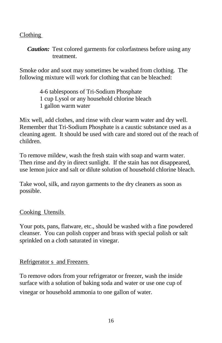#### Clothing

*Caution:* Test colored garments for colorfastness before using any treatment.

Smoke odor and soot may sometimes be washed from clothing. The following mixture will work for clothing that can be bleached:

- 4-6 tablespoons of Tri-Sodium Phosphate
- 1 cup Lysol or any household chlorine bleach
- 1 gallon warm water

Mix well, add clothes, and rinse with clear warm water and dry well. Remember that Tri-Sodium Phosphate is a caustic substance used as a cleaning agent. It should be used with care and stored out of the reach of children.

To remove mildew, wash the fresh stain with soap and warm water. Then rinse and dry in direct sunlight. If the stain has not disappeared, use lemon juice and salt or dilute solution of household chlorine bleach.

Take wool, silk, and rayon garments to the dry cleaners as soon as possible.

#### Cooking Utensils

Your pots, pans, flatware, etc., should be washed with a fine powdered cleanser. You can polish copper and brass with special polish or salt sprinkled on a cloth saturated in vinegar.

#### Refrigerator s and Freezers

To remove odors from your refrigerator or freezer, wash the inside surface with a solution of baking soda and water or use one cup of vinegar or household ammonia to one gallon of water.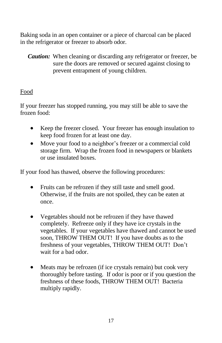Baking soda in an open container or a piece of charcoal can be placed in the refrigerator or freezer to absorb odor.

*Caution:* When cleaning or discarding any refrigerator or freezer, be sure the doors are removed or secured against closing to prevent entrapment of young children.

#### Food

If your freezer has stopped running, you may still be able to save the frozen food:

- Keep the freezer closed. Your freezer has enough insulation to keep food frozen for at least one day.
- Move your food to a neighbor's freezer or a commercial cold storage firm. Wrap the frozen food in newspapers or blankets or use insulated boxes.

If your food has thawed, observe the following procedures:

- Fruits can be refrozen if they still taste and smell good. Otherwise, if the fruits are not spoiled, they can be eaten at once.
- Vegetables should not be refrozen if they have thawed completely. Refreeze only if they have ice crystals in the vegetables. If your vegetables have thawed and cannot be used soon, THROW THEM OUT! If you have doubts as to the freshness of your vegetables, THROW THEM OUT! Don't wait for a bad odor.
- Meats may be refrozen (if ice crystals remain) but cook very thoroughly before tasting. If odor is poor or if you question the freshness of these foods, THROW THEM OUT! Bacteria multiply rapidly.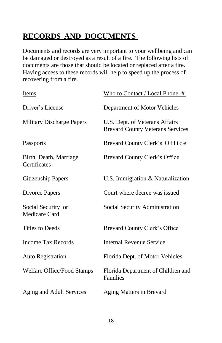# **RECORDS AND DOCUMENTS**

Documents and records are very important to your wellbeing and can be damaged or destroyed as a result of a fire. The following lists of documents are those that should be located or replaced after a fire. Having access to these records will help to speed up the process of recovering from a fire.

| Items                                  | Who to Contact / Local Phone #                                            |
|----------------------------------------|---------------------------------------------------------------------------|
| Driver's License                       | Department of Motor Vehicles                                              |
| <b>Military Discharge Papers</b>       | U.S. Dept. of Veterans Affairs<br><b>Brevard County Veterans Services</b> |
| Passports                              | Brevard County Clerk's Office                                             |
| Birth, Death, Marriage<br>Certificates | Brevard County Clerk's Office                                             |
| <b>Citizenship Papers</b>              | U.S. Immigration & Naturalization                                         |
| Divorce Papers                         | Court where decree was issued                                             |
| Social Security or<br>Medicare Card    | Social Security Administration                                            |
| <b>Titles to Deeds</b>                 | Brevard County Clerk's Office                                             |
| Income Tax Records                     | Internal Revenue Service                                                  |
| <b>Auto Registration</b>               | Florida Dept. of Motor Vehicles                                           |
| <b>Welfare Office/Food Stamps</b>      | Florida Department of Children and<br><b>Families</b>                     |
| Aging and Adult Services               | Aging Matters in Brevard                                                  |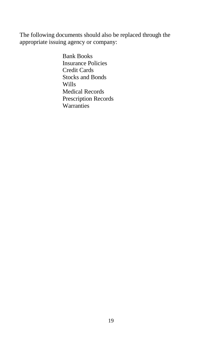The following documents should also be replaced through the appropriate issuing agency or company:

> Bank Books Insurance Policies Credit Cards Stocks and Bonds Wills Medical Records Prescription Records **Warranties**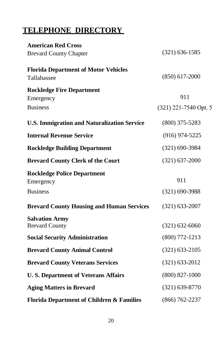# **TELEPHONE DIRECTORY**

| <b>American Red Cross</b>                                        |                              |
|------------------------------------------------------------------|------------------------------|
| <b>Brevard County Chapter</b>                                    | $(321) 636 - 1585$           |
| <b>Florida Department of Motor Vehicles</b><br>Tallahassee       | $(850)$ 617-2000             |
| <b>Rockledge Fire Department</b><br>Emergency<br><b>Business</b> | 911<br>(321) 221-7540 Opt. 5 |
| <b>U.S. Immigration and Naturalization Service</b>               | $(800)$ 375-5283             |
| <b>Internal Revenue Service</b>                                  | $(916)$ 974-5225             |
| <b>Rockledge Building Department</b>                             | $(321)$ 690-3984             |
| <b>Brevard County Clerk of the Court</b>                         | $(321) 637 - 2000$           |
| <b>Rockledge Police Department</b><br>Emergency                  | 911                          |
| <b>Business</b>                                                  | $(321) 690 - 3988$           |
| <b>Brevard County Housing and Human Services</b>                 | $(321) 633 - 2007$           |
| <b>Salvation Army</b><br><b>Brevard County</b>                   | $(321) 632 - 6060$           |
| <b>Social Security Administration</b>                            | $(800)$ 772-1213             |
| <b>Brevard County Animal Control</b>                             | $(321)$ 633-2105             |
| <b>Brevard County Veterans Services</b>                          | $(321) 633 - 2012$           |
| <b>U.S. Department of Veterans Affairs</b>                       | $(800)$ 827-1000             |
| <b>Aging Matters in Brevard</b>                                  | $(321) 639 - 8770$           |
| <b>Florida Department of Children &amp; Families</b>             | $(866) 762 - 2237$           |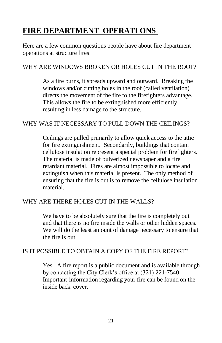# **FIRE DEPARTMENT OPERATI ONS**

Here are a few common questions people have about fire department operations at structure fires:

#### WHY ARE WINDOWS BROKEN OR HOLES CUT IN THE ROOF?

As a fire burns, it spreads upward and outward. Breaking the windows and/or cutting holes in the roof (called ventilation) directs the movement of the fire to the firefighters advantage. This allows the fire to be extinguished more efficiently, resulting in less damage to the structure.

#### WHY WAS IT NECESSARY TO PULL DOWN THE CEILINGS?

Ceilings are pulled primarily to allow quick access to the attic for fire extinguishment. Secondarily, buildings that contain cellulose insulation represent a special problem for firefighters. The material is made of pulverized newspaper and a fire retardant material. Fires are almost impossible to locate and extinguish when this material is present. The only method of ensuring that the fire is out is to remove the cellulose insulation material.

#### WHY ARE THERE HOLES CUT IN THE WALLS?

We have to be absolutely sure that the fire is completely out and that there is no fire inside the walls or other hidden spaces. We will do the least amount of damage necessary to ensure that the fire is out.

#### IS IT POSSIBLE TO OBTAIN A COPY OF THE FIRE REPORT?

Yes. A fire report is a public document and is available through by contacting the City Clerk's office at (321) 221-7540 Important information regarding your fire can be found on the inside back cover.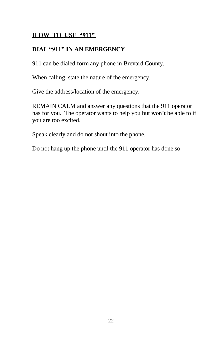#### **H OW TO USE "911"**

#### **DIAL "911" IN AN EMERGENCY**

911 can be dialed form any phone in Brevard County.

When calling, state the nature of the emergency.

Give the address/location of the emergency.

REMAIN CALM and answer any questions that the 911 operator has for you. The operator wants to help you but won't be able to if you are too excited.

Speak clearly and do not shout into the phone.

Do not hang up the phone until the 911 operator has done so.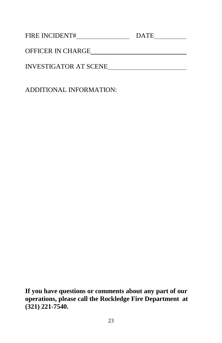| <b>FIRE INCIDENT#</b>        | <b>DATE</b> |
|------------------------------|-------------|
| <b>OFFICER IN CHARGE</b>     |             |
| <b>INVESTIGATOR AT SCENE</b> |             |

ADDITIONAL INFORMATION:

**If you have questions or comments about any part of our operations, please call the Rockledge Fire Department at (321) 221-7540.**